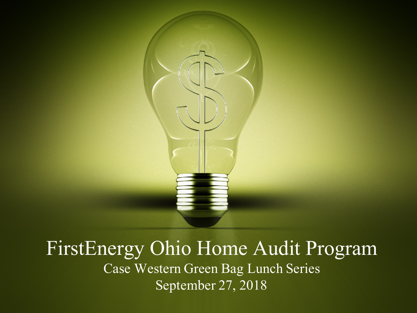

### FirstEnergy Ohio Home Audit Program Case Western Green Bag Lunch Series September 27, 2018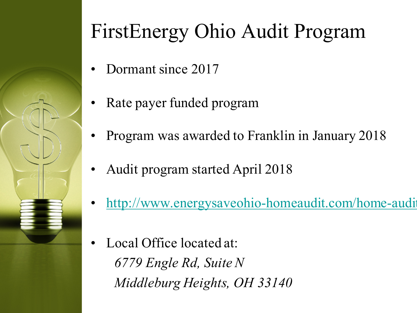

### FirstEnergy Ohio Audit Program

- Dormant since 2017
- Rate payer funded program
- Program was awarded to Franklin in January 2018
- Audit program started April 2018
- http://www.energysaveohio-homeaudit.com/home-audit
- Local Office located at: *6779 Engle Rd, Suite N Middleburg Heights, OH 33140*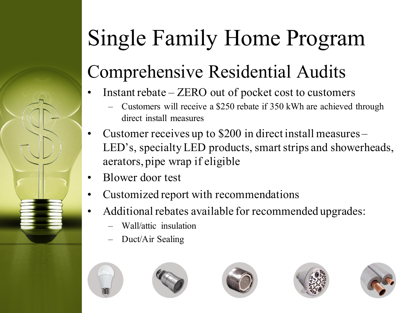## Single Family Home Program

### Comprehensive Residential Audits

- Instant rebate ZERO out of pocket cost to customers
	- Customers will receive a \$250 rebate if 350 kWh are achieved through direct install measures
- Customer receives up to \$200 in direct install measures LED's, specialty LED products, smart strips and showerheads, aerators, pipe wrap if eligible
- Blower door test
- Customized report with recommendations
- Additional rebates available for recommended upgrades:
	- Wall/attic insulation
	- Duct/Air Sealing









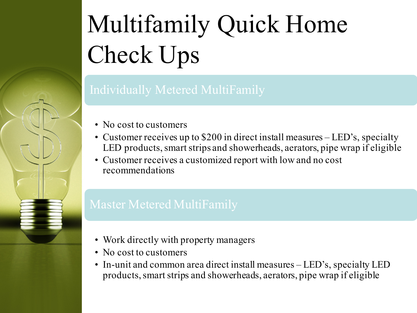# Multifamily Quick Home Check Ups

- No cost to customers
- Customer receives up to \$200 in direct install measures LED's, specialty LED products, smart strips and showerheads, aerators, pipe wrap if eligible
- Customer receives a customized report with low and no cost recommendations

- Work directly with property managers
- No cost to customers
- In-unit and common area direct install measures LED's, specialty LED products, smart strips and showerheads, aerators, pipe wrap if eligible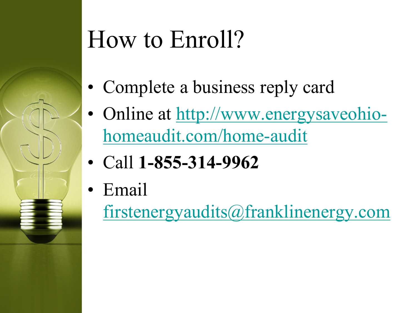## How to Enroll?

- Complete a business reply card
- Online at http://www.energysaveohiohomeaudit.com/home-audit
- Call **1-855-314-9962**
- Email
	- firstenergyaudits@franklinenergy.com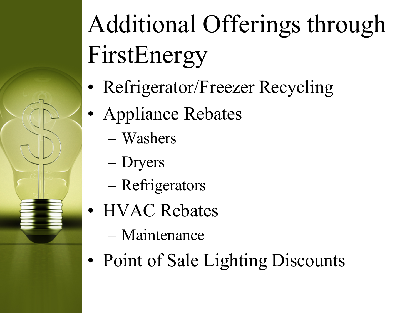# Additional Offerings through FirstEnergy

- Refrigerator/Freezer Recycling
- Appliance Rebates
	- Washers
	- Dryers
	- Refrigerators
- HVAC Rebates
	- Maintenance
- Point of Sale Lighting Discounts